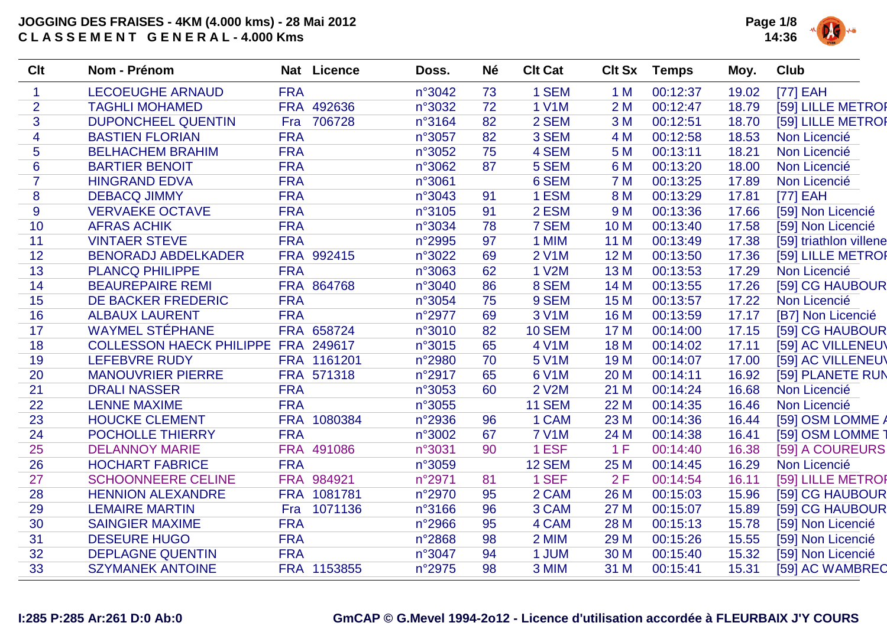

| <b>Clt</b>     | Nom - Prénom                               |            | Nat Licence | Doss.  | <b>Né</b> | <b>Clt Cat</b> | <b>Clt Sx</b> | <b>Temps</b> | Moy.  | Club                   |
|----------------|--------------------------------------------|------------|-------------|--------|-----------|----------------|---------------|--------------|-------|------------------------|
| $\mathbf{1}$   | <b>LECOEUGHE ARNAUD</b>                    | <b>FRA</b> |             | n°3042 | 73        | 1 SEM          | 1 M           | 00:12:37     | 19.02 | $[77]$ EAH             |
| $\overline{2}$ | <b>TAGHLI MOHAMED</b>                      |            | FRA 492636  | n°3032 | 72        | <b>1 V1M</b>   | 2M            | 00:12:47     | 18.79 | [59] LILLE METROP      |
| 3              | <b>DUPONCHEEL QUENTIN</b>                  | Fra        | 706728      | n°3164 | 82        | 2 SEM          | 3M            | 00:12:51     | 18.70 | [59] LILLE METROR      |
| 4              | <b>BASTIEN FLORIAN</b>                     | <b>FRA</b> |             | n°3057 | 82        | 3 SEM          | 4 M           | 00:12:58     | 18.53 | Non Licencié           |
| 5              | <b>BELHACHEM BRAHIM</b>                    | <b>FRA</b> |             | n°3052 | 75        | 4 SEM          | 5 M           | 00:13:11     | 18.21 | Non Licencié           |
| $6\phantom{1}$ | <b>BARTIER BENOIT</b>                      | <b>FRA</b> |             | n°3062 | 87        | 5 SEM          | 6 M           | 00:13:20     | 18.00 | Non Licencié           |
| $\overline{7}$ | <b>HINGRAND EDVA</b>                       | <b>FRA</b> |             | n°3061 |           | 6 SEM          | 7 M           | 00:13:25     | 17.89 | Non Licencié           |
| 8              | <b>DEBACQ JIMMY</b>                        | <b>FRA</b> |             | n°3043 | 91        | 1 ESM          | 8 M           | 00:13:29     | 17.81 | [77] EAH               |
| 9              | <b>VERVAEKE OCTAVE</b>                     | <b>FRA</b> |             | n°3105 | 91        | 2 ESM          | 9 M           | 00:13:36     | 17.66 | [59] Non Licencié      |
| 10             | <b>AFRAS ACHIK</b>                         | <b>FRA</b> |             | n°3034 | 78        | 7 SEM          | 10 M          | 00:13:40     | 17.58 | [59] Non Licencié      |
| 11             | <b>VINTAER STEVE</b>                       | <b>FRA</b> |             | n°2995 | 97        | 1 MIM          | 11 M          | 00:13:49     | 17.38 | [59] triathlon villene |
| 12             | <b>BENORADJ ABDELKADER</b>                 |            | FRA 992415  | n°3022 | 69        | <b>2 V1M</b>   | 12 M          | 00:13:50     | 17.36 | [59] LILLE METROP      |
| 13             | <b>PLANCQ PHILIPPE</b>                     | <b>FRA</b> |             | n°3063 | 62        | <b>1 V2M</b>   | 13 M          | 00:13:53     | 17.29 | Non Licencié           |
| 14             | <b>BEAUREPAIRE REMI</b>                    |            | FRA 864768  | n°3040 | 86        | 8 SEM          | 14 M          | 00:13:55     | 17.26 | [59] CG HAUBOUR        |
| 15             | DE BACKER FREDERIC                         | <b>FRA</b> |             | n°3054 | 75        | 9 SEM          | 15 M          | 00:13:57     | 17.22 | Non Licencié           |
| 16             | <b>ALBAUX LAURENT</b>                      | <b>FRA</b> |             | n°2977 | 69        | 3 V1M          | <b>16 M</b>   | 00:13:59     | 17.17 | [B7] Non Licencié      |
| 17             | <b>WAYMEL STÉPHANE</b>                     |            | FRA 658724  | n°3010 | 82        | <b>10 SEM</b>  | 17 M          | 00:14:00     | 17.15 | [59] CG HAUBOUR        |
| 18             | <b>COLLESSON HAECK PHILIPPE FRA 249617</b> |            |             | n°3015 | 65        | 4 V1M          | <b>18 M</b>   | 00:14:02     | 17.11 | [59] AC VILLENEU\      |
| 19             | <b>LEFEBVRE RUDY</b>                       |            | FRA 1161201 | n°2980 | 70        | <b>5 V1M</b>   | 19 M          | 00:14:07     | 17.00 | [59] AC VILLENEU\      |
| 20             | <b>MANOUVRIER PIERRE</b>                   |            | FRA 571318  | n°2917 | 65        | 6 V1M          | 20 M          | 00:14:11     | 16.92 | [59] PLANETE RUN       |
| 21             | <b>DRALI NASSER</b>                        | <b>FRA</b> |             | n°3053 | 60        | <b>2 V2M</b>   | 21 M          | 00:14:24     | 16.68 | Non Licencié           |
| 22             | <b>LENNE MAXIME</b>                        | <b>FRA</b> |             | n°3055 |           | <b>11 SEM</b>  | 22 M          | 00:14:35     | 16.46 | Non Licencié           |
| 23             | <b>HOUCKE CLEMENT</b>                      |            | FRA 1080384 | n°2936 | 96        | 1 CAM          | 23 M          | 00:14:36     | 16.44 | [59] OSM LOMME A       |
| 24             | POCHOLLE THIERRY                           | <b>FRA</b> |             | n°3002 | 67        | <b>7 V1M</b>   | 24 M          | 00:14:38     | 16.41 | [59] OSM LOMME         |
| 25             | <b>DELANNOY MARIE</b>                      |            | FRA 491086  | n°3031 | 90        | 1 ESF          | 1 F           | 00:14:40     | 16.38 | [59] A COUREURS        |
| 26             | <b>HOCHART FABRICE</b>                     | <b>FRA</b> |             | n°3059 |           | <b>12 SEM</b>  | 25 M          | 00:14:45     | 16.29 | Non Licencié           |
| 27             | <b>SCHOONNEERE CELINE</b>                  |            | FRA 984921  | n°2971 | 81        | 1 SEF          | 2F            | 00:14:54     | 16.11 | [59] LILLE METROP      |
| 28             | <b>HENNION ALEXANDRE</b>                   |            | FRA 1081781 | n°2970 | 95        | 2 CAM          | 26 M          | 00:15:03     | 15.96 | [59] CG HAUBOUR        |
| 29             | <b>LEMAIRE MARTIN</b>                      | Fra        | 1071136     | n°3166 | 96        | 3 CAM          | 27 M          | 00:15:07     | 15.89 | [59] CG HAUBOUR        |
| 30             | <b>SAINGIER MAXIME</b>                     | <b>FRA</b> |             | n°2966 | 95        | 4 CAM          | 28 M          | 00:15:13     | 15.78 | [59] Non Licencié      |
| 31             | <b>DESEURE HUGO</b>                        | <b>FRA</b> |             | n°2868 | 98        | 2 MIM          | 29 M          | 00:15:26     | 15.55 | [59] Non Licencié      |
| 32             | <b>DEPLAGNE QUENTIN</b>                    | <b>FRA</b> |             | n°3047 | 94        | 1 JUM          | 30 M          | 00:15:40     | 15.32 | [59] Non Licencié      |
| 33             | <b>SZYMANEK ANTOINE</b>                    |            | FRA 1153855 | n°2975 | 98        | 3 MIM          | 31 M          | 00:15:41     | 15.31 | [59] AC WAMBREC        |
|                |                                            |            |             |        |           |                |               |              |       |                        |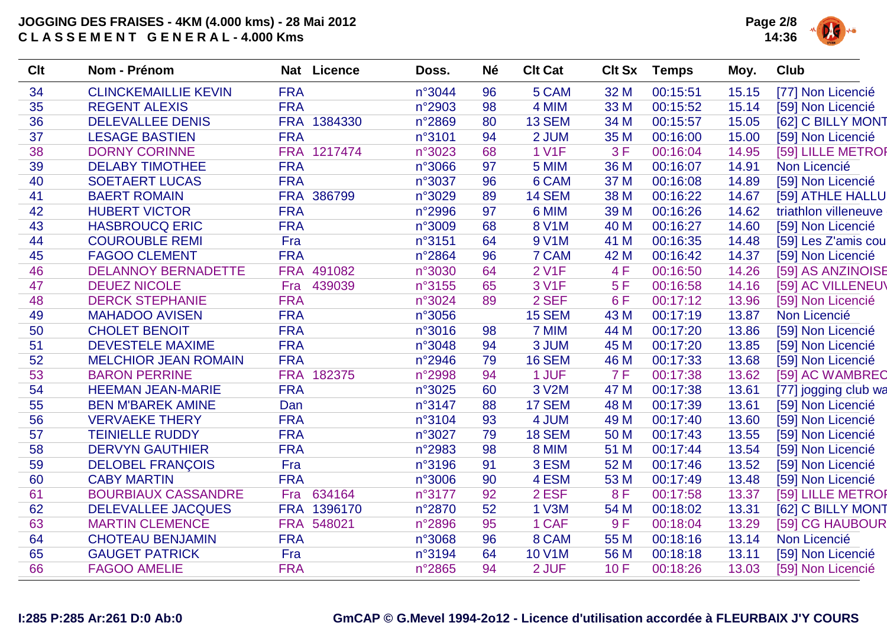

| Clt | Nom - Prénom                |            | Nat Licence | Doss.  | <b>Né</b> | <b>Clt Cat</b> | <b>Clt Sx</b> | <b>Temps</b> | Moy.  | <b>Club</b>          |
|-----|-----------------------------|------------|-------------|--------|-----------|----------------|---------------|--------------|-------|----------------------|
| 34  | <b>CLINCKEMAILLIE KEVIN</b> | <b>FRA</b> |             | n°3044 | 96        | 5 CAM          | 32 M          | 00:15:51     | 15.15 | [77] Non Licencié    |
| 35  | <b>REGENT ALEXIS</b>        | <b>FRA</b> |             | n°2903 | 98        | 4 MIM          | 33 M          | 00:15:52     | 15.14 | [59] Non Licencié    |
| 36  | <b>DELEVALLEE DENIS</b>     |            | FRA 1384330 | n°2869 | 80        | <b>13 SEM</b>  | 34 M          | 00:15:57     | 15.05 | [62] C BILLY MONT    |
| 37  | <b>LESAGE BASTIEN</b>       | <b>FRA</b> |             | n°3101 | 94        | 2 JUM          | 35 M          | 00:16:00     | 15.00 | [59] Non Licencié    |
| 38  | <b>DORNY CORINNE</b>        |            | FRA 1217474 | n°3023 | 68        | <b>1 V1F</b>   | 3F            | 00:16:04     | 14.95 | [59] LILLE METROP    |
| 39  | <b>DELABY TIMOTHEE</b>      | <b>FRA</b> |             | n°3066 | 97        | 5 MIM          | 36 M          | 00:16:07     | 14.91 | Non Licencié         |
| 40  | <b>SOETAERT LUCAS</b>       | <b>FRA</b> |             | n°3037 | 96        | 6 CAM          | 37 M          | 00:16:08     | 14.89 | [59] Non Licencié    |
| 41  | <b>BAERT ROMAIN</b>         |            | FRA 386799  | n°3029 | 89        | <b>14 SEM</b>  | 38 M          | 00:16:22     | 14.67 | [59] ATHLE HALLU     |
| 42  | <b>HUBERT VICTOR</b>        | <b>FRA</b> |             | n°2996 | 97        | 6 MIM          | 39 M          | 00:16:26     | 14.62 | triathlon villeneuve |
| 43  | <b>HASBROUCQ ERIC</b>       | <b>FRA</b> |             | n°3009 | 68        | 8 V1M          | 40 M          | 00:16:27     | 14.60 | [59] Non Licencié    |
| 44  | <b>COUROUBLE REMI</b>       | Fra        |             | n°3151 | 64        | 9 V1M          | 41 M          | 00:16:35     | 14.48 | [59] Les Z'amis cou  |
| 45  | <b>FAGOO CLEMENT</b>        | <b>FRA</b> |             | n°2864 | 96        | 7 CAM          | 42 M          | 00:16:42     | 14.37 | [59] Non Licencié    |
| 46  | <b>DELANNOY BERNADETTE</b>  |            | FRA 491082  | n°3030 | 64        | <b>2 V1F</b>   | 4F            | 00:16:50     | 14.26 | [59] AS ANZINOISE    |
| 47  | <b>DEUEZ NICOLE</b>         | Fra        | 439039      | n°3155 | 65        | <b>3 V1F</b>   | 5F            | 00:16:58     | 14.16 | [59] AC VILLENEU\    |
| 48  | <b>DERCK STEPHANIE</b>      | <b>FRA</b> |             | n°3024 | 89        | 2 SEF          | 6F            | 00:17:12     | 13.96 | [59] Non Licencié    |
| 49  | <b>MAHADOO AVISEN</b>       | <b>FRA</b> |             | n°3056 |           | <b>15 SEM</b>  | 43 M          | 00:17:19     | 13.87 | Non Licencié         |
| 50  | <b>CHOLET BENOIT</b>        | <b>FRA</b> |             | n°3016 | 98        | 7 MIM          | 44 M          | 00:17:20     | 13.86 | [59] Non Licencié    |
| 51  | <b>DEVESTELE MAXIME</b>     | <b>FRA</b> |             | n°3048 | 94        | 3 JUM          | 45 M          | 00:17:20     | 13.85 | [59] Non Licencié    |
| 52  | <b>MELCHIOR JEAN ROMAIN</b> | <b>FRA</b> |             | n°2946 | 79        | <b>16 SEM</b>  | 46 M          | 00:17:33     | 13.68 | [59] Non Licencié    |
| 53  | <b>BARON PERRINE</b>        |            | FRA 182375  | n°2998 | 94        | 1 JUF          | 7 F           | 00:17:38     | 13.62 | [59] AC WAMBREC      |
| 54  | <b>HEEMAN JEAN-MARIE</b>    | <b>FRA</b> |             | n°3025 | 60        | 3 V2M          | 47 M          | 00:17:38     | 13.61 | [77] jogging club wa |
| 55  | <b>BEN M'BAREK AMINE</b>    | Dan        |             | n°3147 | 88        | 17 SEM         | 48 M          | 00:17:39     | 13.61 | [59] Non Licencié    |
| 56  | <b>VERVAEKE THERY</b>       | <b>FRA</b> |             | n°3104 | 93        | 4 JUM          | 49 M          | 00:17:40     | 13.60 | [59] Non Licencié    |
| 57  | <b>TEINIELLE RUDDY</b>      | <b>FRA</b> |             | n°3027 | 79        | <b>18 SEM</b>  | 50 M          | 00:17:43     | 13.55 | [59] Non Licencié    |
| 58  | <b>DERVYN GAUTHIER</b>      | <b>FRA</b> |             | n°2983 | 98        | 8 MIM          | 51 M          | 00:17:44     | 13.54 | [59] Non Licencié    |
| 59  | <b>DELOBEL FRANÇOIS</b>     | Fra        |             | n°3196 | 91        | 3 ESM          | 52 M          | 00:17:46     | 13.52 | [59] Non Licencié    |
| 60  | <b>CABY MARTIN</b>          | <b>FRA</b> |             | n°3006 | 90        | 4 ESM          | 53 M          | 00:17:49     | 13.48 | [59] Non Licencié    |
| 61  | <b>BOURBIAUX CASSANDRE</b>  | Fra        | 634164      | n°3177 | 92        | 2 ESF          | 8F            | 00:17:58     | 13.37 | [59] LILLE METROF    |
| 62  | <b>DELEVALLEE JACQUES</b>   |            | FRA 1396170 | n°2870 | 52        | 1 V3M          | 54 M          | 00:18:02     | 13.31 | [62] C BILLY MONT    |
| 63  | <b>MARTIN CLEMENCE</b>      |            | FRA 548021  | n°2896 | 95        | 1 CAF          | 9F            | 00:18:04     | 13.29 | [59] CG HAUBOUR      |
| 64  | <b>CHOTEAU BENJAMIN</b>     | <b>FRA</b> |             | n°3068 | 96        | 8 CAM          | 55 M          | 00:18:16     | 13.14 | Non Licencié         |
| 65  | <b>GAUGET PATRICK</b>       | Fra        |             | n°3194 | 64        | <b>10 V1M</b>  | 56 M          | 00:18:18     | 13.11 | [59] Non Licencié    |
| 66  | <b>FAGOO AMELIE</b>         | <b>FRA</b> |             | n°2865 | 94        | 2 JUF          | 10F           | 00:18:26     | 13.03 | [59] Non Licencié    |
|     |                             |            |             |        |           |                |               |              |       |                      |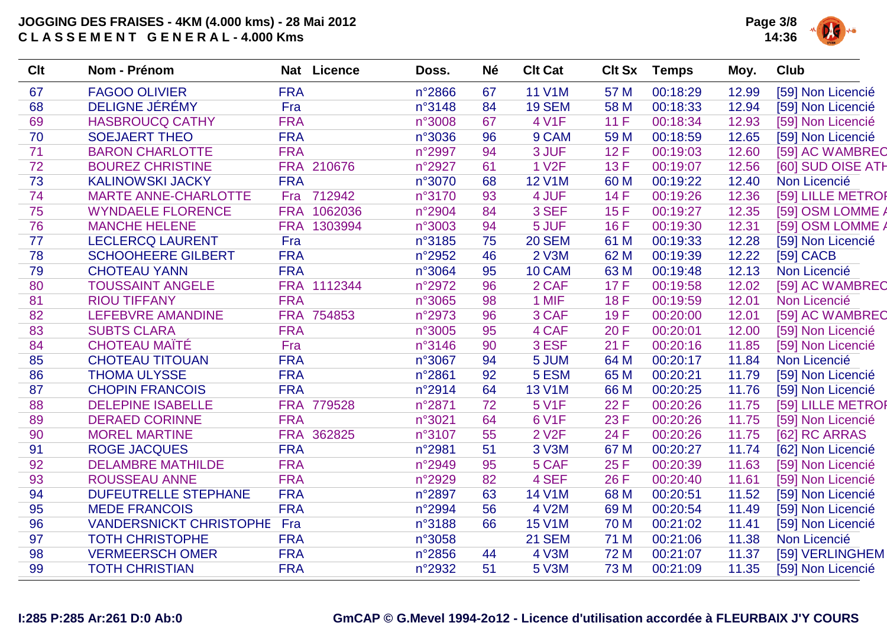

| <b>Clt</b> | Nom - Prénom                   |            | Nat Licence | Doss.  | <b>Né</b> | <b>Clt Cat</b>     | <b>Clt Sx</b> | <b>Temps</b> | Moy.  | Club              |
|------------|--------------------------------|------------|-------------|--------|-----------|--------------------|---------------|--------------|-------|-------------------|
| 67         | <b>FAGOO OLIVIER</b>           | <b>FRA</b> |             | n°2866 | 67        | <b>11 V1M</b>      | 57 M          | 00:18:29     | 12.99 | [59] Non Licencié |
| 68         | DELIGNE JÉRÉMY                 | Fra        |             | n°3148 | 84        | <b>19 SEM</b>      | 58 M          | 00:18:33     | 12.94 | [59] Non Licencié |
| 69         | <b>HASBROUCQ CATHY</b>         | <b>FRA</b> |             | n°3008 | 67        | 4 V1F              | 11F           | 00:18:34     | 12.93 | [59] Non Licencié |
| 70         | <b>SOEJAERT THEO</b>           | <b>FRA</b> |             | n°3036 | 96        | 9 CAM              | 59 M          | 00:18:59     | 12.65 | [59] Non Licencié |
| 71         | <b>BARON CHARLOTTE</b>         | <b>FRA</b> |             | n°2997 | 94        | 3 JUF              | 12F           | 00:19:03     | 12.60 | [59] AC WAMBREC   |
| 72         | <b>BOUREZ CHRISTINE</b>        |            | FRA 210676  | n°2927 | 61        | <b>1 V2F</b>       | 13F           | 00:19:07     | 12.56 | [60] SUD OISE ATH |
| 73         | <b>KALINOWSKI JACKY</b>        | <b>FRA</b> |             | n°3070 | 68        | <b>12 V1M</b>      | 60 M          | 00:19:22     | 12.40 | Non Licencié      |
| 74         | <b>MARTE ANNE-CHARLOTTE</b>    |            | Fra 712942  | n°3170 | 93        | 4 JUF              | 14F           | 00:19:26     | 12.36 | [59] LILLE METROF |
| 75         | <b>WYNDAELE FLORENCE</b>       |            | FRA 1062036 | n°2904 | 84        | 3 SEF              | 15F           | 00:19:27     | 12.35 | [59] OSM LOMME    |
| 76         | <b>MANCHE HELENE</b>           |            | FRA 1303994 | n°3003 | 94        | 5 JUF              | 16F           | 00:19:30     | 12.31 | [59] OSM LOMME /  |
| 77         | <b>LECLERCQ LAURENT</b>        | Fra        |             | n°3185 | 75        | <b>20 SEM</b>      | 61 M          | 00:19:33     | 12.28 | [59] Non Licencié |
| 78         | <b>SCHOOHEERE GILBERT</b>      | <b>FRA</b> |             | n°2952 | 46        | <b>2 V3M</b>       | 62 M          | 00:19:39     | 12.22 | [59] CACB         |
| 79         | <b>CHOTEAU YANN</b>            | <b>FRA</b> |             | n°3064 | 95        | 10 CAM             | 63 M          | 00:19:48     | 12.13 | Non Licencié      |
| 80         | <b>TOUSSAINT ANGELE</b>        |            | FRA 1112344 | n°2972 | 96        | 2 CAF              | 17F           | 00:19:58     | 12.02 | [59] AC WAMBREC   |
| 81         | <b>RIOU TIFFANY</b>            | <b>FRA</b> |             | n°3065 | 98        | 1 MIF              | <b>18F</b>    | 00:19:59     | 12.01 | Non Licencié      |
| 82         | LEFEBVRE AMANDINE              |            | FRA 754853  | n°2973 | 96        | 3 CAF              | 19F           | 00:20:00     | 12.01 | [59] AC WAMBREC   |
| 83         | <b>SUBTS CLARA</b>             | <b>FRA</b> |             | n°3005 | 95        | 4 CAF              | 20 F          | 00:20:01     | 12.00 | [59] Non Licencié |
| 84         | <b>CHOTEAU MAÏTÉ</b>           | Fra        |             | n°3146 | 90        | 3 ESF              | 21F           | 00:20:16     | 11.85 | [59] Non Licencié |
| 85         | <b>CHOTEAU TITOUAN</b>         | <b>FRA</b> |             | n°3067 | 94        | 5 JUM              | 64 M          | 00:20:17     | 11.84 | Non Licencié      |
| 86         | <b>THOMA ULYSSE</b>            | <b>FRA</b> |             | n°2861 | 92        | 5 ESM              | 65 M          | 00:20:21     | 11.79 | [59] Non Licencié |
| 87         | <b>CHOPIN FRANCOIS</b>         | <b>FRA</b> |             | n°2914 | 64        | <b>13 V1M</b>      | 66 M          | 00:20:25     | 11.76 | [59] Non Licencié |
| 88         | <b>DELEPINE ISABELLE</b>       |            | FRA 779528  | n°2871 | 72        | 5 V1F              | 22 F          | 00:20:26     | 11.75 | [59] LILLE METROF |
| 89         | <b>DERAED CORINNE</b>          | <b>FRA</b> |             | n°3021 | 64        | <b>6 V1F</b>       | 23 F          | 00:20:26     | 11.75 | [59] Non Licencié |
| 90         | <b>MOREL MARTINE</b>           |            | FRA 362825  | n°3107 | 55        | 2 V <sub>2</sub> F | 24 F          | 00:20:26     | 11.75 | [62] RC ARRAS     |
| 91         | <b>ROGE JACQUES</b>            | <b>FRA</b> |             | n°2981 | 51        | 3 V3M              | 67 M          | 00:20:27     | 11.74 | [62] Non Licencié |
| 92         | <b>DELAMBRE MATHILDE</b>       | <b>FRA</b> |             | n°2949 | 95        | 5 CAF              | 25 F          | 00:20:39     | 11.63 | [59] Non Licencié |
| 93         | <b>ROUSSEAU ANNE</b>           | <b>FRA</b> |             | n°2929 | 82        | 4 SEF              | 26 F          | 00:20:40     | 11.61 | [59] Non Licencié |
| 94         | <b>DUFEUTRELLE STEPHANE</b>    | <b>FRA</b> |             | n°2897 | 63        | 14 V1M             | 68 M          | 00:20:51     | 11.52 | [59] Non Licencié |
| 95         | <b>MEDE FRANCOIS</b>           | <b>FRA</b> |             | n°2994 | 56        | 4 V2M              | 69 M          | 00:20:54     | 11.49 | [59] Non Licencié |
| 96         | <b>VANDERSNICKT CHRISTOPHE</b> | Fra        |             | n°3188 | 66        | <b>15 V1M</b>      | <b>70 M</b>   | 00:21:02     | 11.41 | [59] Non Licencié |
| 97         | <b>TOTH CHRISTOPHE</b>         | <b>FRA</b> |             | n°3058 |           | <b>21 SEM</b>      | 71 M          | 00:21:06     | 11.38 | Non Licencié      |
| 98         | <b>VERMEERSCH OMER</b>         | <b>FRA</b> |             | n°2856 | 44        | 4 V3M              | 72 M          | 00:21:07     | 11.37 | [59] VERLINGHEM   |
| 99         | <b>TOTH CHRISTIAN</b>          | <b>FRA</b> |             | n°2932 | 51        | 5 V3M              | <b>73 M</b>   | 00:21:09     | 11.35 | [59] Non Licencié |
|            |                                |            |             |        |           |                    |               |              |       |                   |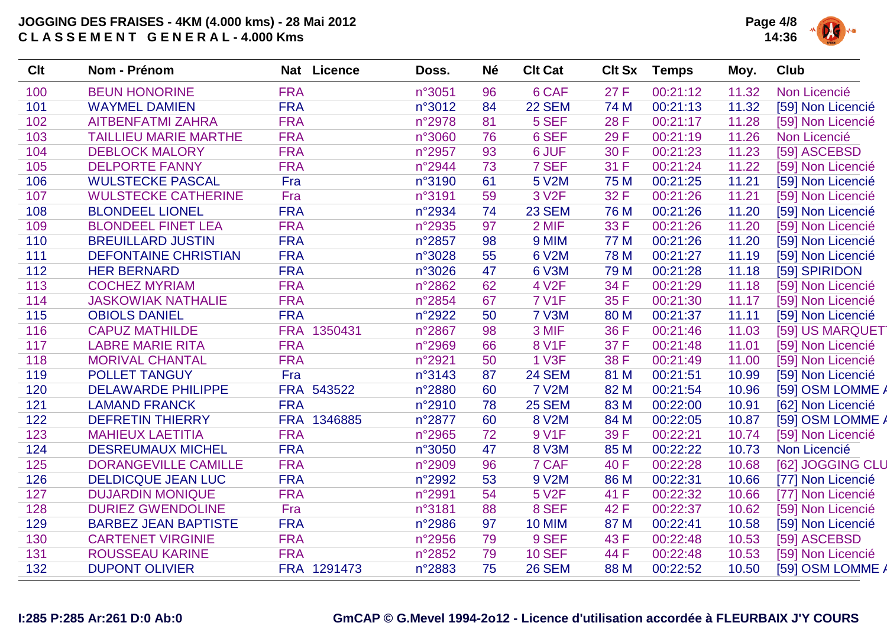

| Clt | <b>Nom - Prénom</b>          | Nat Licence           | Doss.  | <b>Né</b> | <b>Clt Cat</b>     | <b>Clt Sx</b> | <b>Temps</b> | Moy.  | <b>Club</b>       |
|-----|------------------------------|-----------------------|--------|-----------|--------------------|---------------|--------------|-------|-------------------|
| 100 | <b>BEUN HONORINE</b>         | <b>FRA</b>            | n°3051 | 96        | 6 CAF              | 27 F          | 00:21:12     | 11.32 | Non Licencié      |
| 101 | <b>WAYMEL DAMIEN</b>         | <b>FRA</b>            | n°3012 | 84        | <b>22 SEM</b>      | 74 M          | 00:21:13     | 11.32 | [59] Non Licencié |
| 102 | <b>AITBENFATMI ZAHRA</b>     | <b>FRA</b>            | n°2978 | 81        | 5 SEF              | 28 F          | 00:21:17     | 11.28 | [59] Non Licencié |
| 103 | <b>TAILLIEU MARIE MARTHE</b> | <b>FRA</b>            | n°3060 | 76        | 6 SEF              | 29 F          | 00:21:19     | 11.26 | Non Licencié      |
| 104 | <b>DEBLOCK MALORY</b>        | <b>FRA</b>            | n°2957 | 93        | 6 JUF              | 30 F          | 00:21:23     | 11.23 | [59] ASCEBSD      |
| 105 | <b>DELPORTE FANNY</b>        | <b>FRA</b>            | n°2944 | 73        | 7 SEF              | 31 F          | 00:21:24     | 11.22 | [59] Non Licencié |
| 106 | <b>WULSTECKE PASCAL</b>      | Fra                   | n°3190 | 61        | 5 V2M              | 75 M          | 00:21:25     | 11.21 | [59] Non Licencié |
| 107 | <b>WULSTECKE CATHERINE</b>   | Fra                   | n°3191 | 59        | 3 V <sub>2</sub> F | 32 F          | 00:21:26     | 11.21 | [59] Non Licencié |
| 108 | <b>BLONDEEL LIONEL</b>       | <b>FRA</b>            | n°2934 | 74        | <b>23 SEM</b>      | 76 M          | 00:21:26     | 11.20 | [59] Non Licencié |
| 109 | <b>BLONDEEL FINET LEA</b>    | <b>FRA</b>            | n°2935 | 97        | 2 MIF              | 33 F          | 00:21:26     | 11.20 | [59] Non Licencié |
| 110 | <b>BREUILLARD JUSTIN</b>     | <b>FRA</b>            | n°2857 | 98        | 9 MIM              | 77 M          | 00:21:26     | 11.20 | [59] Non Licencié |
| 111 | <b>DEFONTAINE CHRISTIAN</b>  | <b>FRA</b>            | n°3028 | 55        | 6 V2M              | <b>78 M</b>   | 00:21:27     | 11.19 | [59] Non Licencié |
| 112 | <b>HER BERNARD</b>           | <b>FRA</b>            | n°3026 | 47        | 6 V3M              | 79 M          | 00:21:28     | 11.18 | [59] SPIRIDON     |
| 113 | <b>COCHEZ MYRIAM</b>         | <b>FRA</b>            | n°2862 | 62        | 4 V <sub>2</sub> F | 34 F          | 00:21:29     | 11.18 | [59] Non Licencié |
| 114 | <b>JASKOWIAK NATHALIE</b>    | <b>FRA</b>            | n°2854 | 67        | <b>7 V1F</b>       | 35 F          | 00:21:30     | 11.17 | [59] Non Licencié |
| 115 | <b>OBIOLS DANIEL</b>         | <b>FRA</b>            | n°2922 | 50        | 7 V3M              | 80 M          | 00:21:37     | 11.11 | [59] Non Licencié |
| 116 | <b>CAPUZ MATHILDE</b>        | <b>FRA</b><br>1350431 | n°2867 | 98        | 3 MIF              | 36 F          | 00:21:46     | 11.03 | [59] US MARQUET   |
| 117 | <b>LABRE MARIE RITA</b>      | <b>FRA</b>            | n°2969 | 66        | <b>8 V1F</b>       | 37 F          | 00:21:48     | 11.01 | [59] Non Licencié |
| 118 | <b>MORIVAL CHANTAL</b>       | <b>FRA</b>            | n°2921 | 50        | <b>1 V3F</b>       | 38 F          | 00:21:49     | 11.00 | [59] Non Licencié |
| 119 | <b>POLLET TANGUY</b>         | Fra                   | n°3143 | 87        | 24 SEM             | 81 M          | 00:21:51     | 10.99 | [59] Non Licencié |
| 120 | <b>DELAWARDE PHILIPPE</b>    | FRA 543522            | n°2880 | 60        | <b>7 V2M</b>       | 82 M          | 00:21:54     | 10.96 | [59] OSM LOMME A  |
| 121 | <b>LAMAND FRANCK</b>         | <b>FRA</b>            | n°2910 | 78        | <b>25 SEM</b>      | 83 M          | 00:22:00     | 10.91 | [62] Non Licencié |
| 122 | <b>DEFRETIN THIERRY</b>      | FRA 1346885           | n°2877 | 60        | 8 V2M              | 84 M          | 00:22:05     | 10.87 | [59] OSM LOMME A  |
| 123 | <b>MAHIEUX LAETITIA</b>      | <b>FRA</b>            | n°2965 | 72        | 9 V1F              | 39 F          | 00:22:21     | 10.74 | [59] Non Licencié |
| 124 | <b>DESREUMAUX MICHEL</b>     | <b>FRA</b>            | n°3050 | 47        | 8 V3M              | 85 M          | 00:22:22     | 10.73 | Non Licencié      |
| 125 | <b>DORANGEVILLE CAMILLE</b>  | <b>FRA</b>            | n°2909 | 96        | 7 CAF              | 40 F          | 00:22:28     | 10.68 | [62] JOGGING CLU  |
| 126 | <b>DELDICQUE JEAN LUC</b>    | <b>FRA</b>            | n°2992 | 53        | 9 V2M              | 86 M          | 00:22:31     | 10.66 | [77] Non Licencié |
| 127 | <b>DUJARDIN MONIQUE</b>      | <b>FRA</b>            | n°2991 | 54        | 5 V <sub>2</sub> F | 41 F          | 00:22:32     | 10.66 | [77] Non Licencié |
| 128 | <b>DURIEZ GWENDOLINE</b>     | Fra                   | n°3181 | 88        | 8 SEF              | 42 F          | 00:22:37     | 10.62 | [59] Non Licencié |
| 129 | <b>BARBEZ JEAN BAPTISTE</b>  | <b>FRA</b>            | n°2986 | 97        | 10 MIM             | 87 M          | 00:22:41     | 10.58 | [59] Non Licencié |
| 130 | <b>CARTENET VIRGINIE</b>     | <b>FRA</b>            | n°2956 | 79        | 9 SEF              | 43 F          | 00:22:48     | 10.53 | [59] ASCEBSD      |
| 131 | <b>ROUSSEAU KARINE</b>       | <b>FRA</b>            | n°2852 | 79        | <b>10 SEF</b>      | 44 F          | 00:22:48     | 10.53 | [59] Non Licencié |
| 132 | <b>DUPONT OLIVIER</b>        | FRA 1291473           | n°2883 | 75        | <b>26 SEM</b>      | 88 M          | 00:22:52     | 10.50 | [59] OSM LOMME A  |
|     |                              |                       |        |           |                    |               |              |       |                   |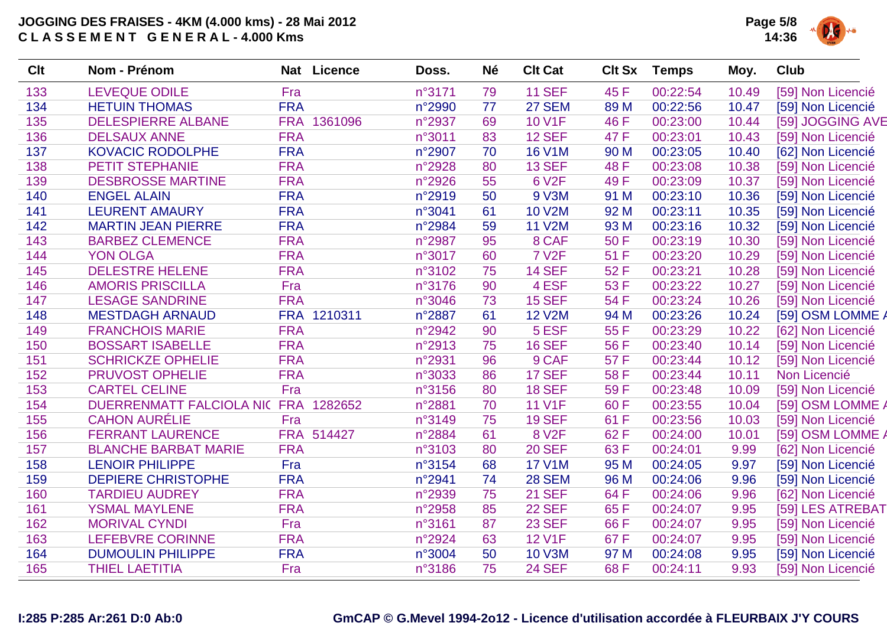

| Clt | Nom - Prénom                         |            | Nat Licence | Doss.  | <b>Né</b> | <b>Clt Cat</b> | <b>Clt Sx</b> | <b>Temps</b> | Moy.  | <b>Club</b>       |
|-----|--------------------------------------|------------|-------------|--------|-----------|----------------|---------------|--------------|-------|-------------------|
| 133 | <b>LEVEQUE ODILE</b>                 | Fra        |             | n°3171 | 79        | <b>11 SEF</b>  | 45 F          | 00:22:54     | 10.49 | [59] Non Licencié |
| 134 | <b>HETUIN THOMAS</b>                 | <b>FRA</b> |             | n°2990 | 77        | <b>27 SEM</b>  | 89 M          | 00:22:56     | 10.47 | [59] Non Licencié |
| 135 | <b>DELESPIERRE ALBANE</b>            |            | FRA 1361096 | n°2937 | 69        | <b>10 V1F</b>  | 46 F          | 00:23:00     | 10.44 | [59] JOGGING AVE  |
| 136 | <b>DELSAUX ANNE</b>                  | <b>FRA</b> |             | n°3011 | 83        | <b>12 SEF</b>  | 47 F          | 00:23:01     | 10.43 | [59] Non Licencié |
| 137 | <b>KOVACIC RODOLPHE</b>              | <b>FRA</b> |             | n°2907 | 70        | <b>16 V1M</b>  | 90 M          | 00:23:05     | 10.40 | [62] Non Licencié |
| 138 | <b>PETIT STEPHANIE</b>               | <b>FRA</b> |             | n°2928 | 80        | <b>13 SEF</b>  | 48 F          | 00:23:08     | 10.38 | [59] Non Licencié |
| 139 | <b>DESBROSSE MARTINE</b>             | <b>FRA</b> |             | n°2926 | 55        | <b>6 V2F</b>   | 49 F          | 00:23:09     | 10.37 | [59] Non Licencié |
| 140 | <b>ENGEL ALAIN</b>                   | <b>FRA</b> |             | n°2919 | 50        | 9 V3M          | 91 M          | 00:23:10     | 10.36 | [59] Non Licencié |
| 141 | <b>LEURENT AMAURY</b>                | <b>FRA</b> |             | n°3041 | 61        | <b>10 V2M</b>  | 92 M          | 00:23:11     | 10.35 | [59] Non Licencié |
| 142 | <b>MARTIN JEAN PIERRE</b>            | <b>FRA</b> |             | n°2984 | 59        | <b>11 V2M</b>  | 93 M          | 00:23:16     | 10.32 | [59] Non Licencié |
| 143 | <b>BARBEZ CLEMENCE</b>               | <b>FRA</b> |             | n°2987 | 95        | 8 CAF          | 50 F          | 00:23:19     | 10.30 | [59] Non Licencié |
| 144 | <b>YON OLGA</b>                      | <b>FRA</b> |             | n°3017 | 60        | <b>7 V2F</b>   | 51 F          | 00:23:20     | 10.29 | [59] Non Licencié |
| 145 | <b>DELESTRE HELENE</b>               | <b>FRA</b> |             | n°3102 | 75        | <b>14 SEF</b>  | 52 F          | 00:23:21     | 10.28 | [59] Non Licencié |
| 146 | <b>AMORIS PRISCILLA</b>              | Fra        |             | n°3176 | 90        | 4 ESF          | 53 F          | 00:23:22     | 10.27 | [59] Non Licencié |
| 147 | <b>LESAGE SANDRINE</b>               | <b>FRA</b> |             | n°3046 | 73        | <b>15 SEF</b>  | 54 F          | 00:23:24     | 10.26 | [59] Non Licencié |
| 148 | <b>MESTDAGH ARNAUD</b>               |            | FRA 1210311 | n°2887 | 61        | <b>12 V2M</b>  | 94 M          | 00:23:26     | 10.24 | [59] OSM LOMME A  |
| 149 | <b>FRANCHOIS MARIE</b>               | <b>FRA</b> |             | n°2942 | 90        | 5 ESF          | 55 F          | 00:23:29     | 10.22 | [62] Non Licencié |
| 150 | <b>BOSSART ISABELLE</b>              | <b>FRA</b> |             | n°2913 | 75        | <b>16 SEF</b>  | 56 F          | 00:23:40     | 10.14 | [59] Non Licencié |
| 151 | <b>SCHRICKZE OPHELIE</b>             | <b>FRA</b> |             | n°2931 | 96        | 9 CAF          | 57 F          | 00:23:44     | 10.12 | [59] Non Licencié |
| 152 | <b>PRUVOST OPHELIE</b>               | <b>FRA</b> |             | n°3033 | 86        | <b>17 SEF</b>  | 58 F          | 00:23:44     | 10.11 | Non Licencié      |
| 153 | <b>CARTEL CELINE</b>                 | Fra        |             | n°3156 | 80        | <b>18 SEF</b>  | 59F           | 00:23:48     | 10.09 | [59] Non Licencié |
| 154 | DUERRENMATT FALCIOLA NIC FRA 1282652 |            |             | n°2881 | 70        | <b>11 V1F</b>  | 60 F          | 00:23:55     | 10.04 | [59] OSM LOMME /  |
| 155 | <b>CAHON AURÉLIE</b>                 | Fra        |             | n°3149 | 75        | <b>19 SEF</b>  | 61 F          | 00:23:56     | 10.03 | [59] Non Licencié |
| 156 | <b>FERRANT LAURENCE</b>              |            | FRA 514427  | n°2884 | 61        | <b>8 V2F</b>   | 62 F          | 00:24:00     | 10.01 | [59] OSM LOMME /  |
| 157 | <b>BLANCHE BARBAT MARIE</b>          | <b>FRA</b> |             | n°3103 | 80        | <b>20 SEF</b>  | 63 F          | 00:24:01     | 9.99  | [62] Non Licencié |
| 158 | <b>LENOIR PHILIPPE</b>               | Fra        |             | n°3154 | 68        | <b>17 V1M</b>  | 95 M          | 00:24:05     | 9.97  | [59] Non Licencié |
| 159 | <b>DEPIERE CHRISTOPHE</b>            | <b>FRA</b> |             | n°2941 | 74        | <b>28 SEM</b>  | 96 M          | 00:24:06     | 9.96  | [59] Non Licencié |
| 160 | <b>TARDIEU AUDREY</b>                | <b>FRA</b> |             | n°2939 | 75        | <b>21 SEF</b>  | 64 F          | 00:24:06     | 9.96  | [62] Non Licencié |
| 161 | <b>YSMAL MAYLENE</b>                 | <b>FRA</b> |             | n°2958 | 85        | <b>22 SEF</b>  | 65 F          | 00:24:07     | 9.95  | [59] LES ATREBAT  |
| 162 | <b>MORIVAL CYNDI</b>                 | Fra        |             | n°3161 | 87        | <b>23 SEF</b>  | 66 F          | 00:24:07     | 9.95  | [59] Non Licencié |
| 163 | <b>LEFEBVRE CORINNE</b>              | <b>FRA</b> |             | n°2924 | 63        | <b>12 V1F</b>  | 67 F          | 00:24:07     | 9.95  | [59] Non Licencié |
| 164 | <b>DUMOULIN PHILIPPE</b>             | <b>FRA</b> |             | n°3004 | 50        | <b>10 V3M</b>  | 97 M          | 00:24:08     | 9.95  | [59] Non Licencié |
| 165 | <b>THIEL LAETITIA</b>                | Fra        |             | n°3186 | 75        | <b>24 SEF</b>  | 68 F          | 00:24:11     | 9.93  | [59] Non Licencié |
|     |                                      |            |             |        |           |                |               |              |       |                   |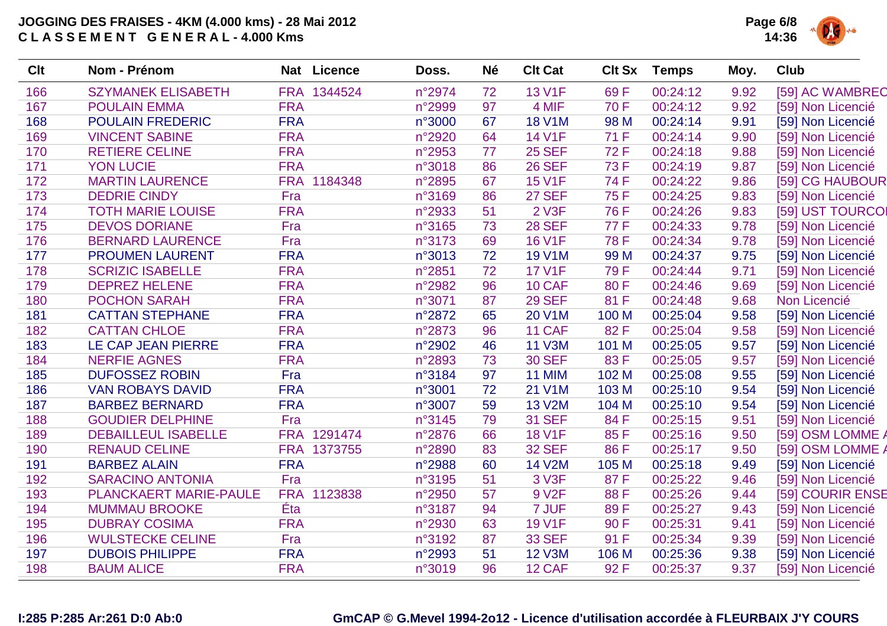

| <b>Clt</b> | Nom - Prénom                  | Nat        | <b>Licence</b> | Doss.  | <b>Né</b> | <b>Clt Cat</b>     | <b>Clt Sx</b> | <b>Temps</b> | Moy. | <b>Club</b>       |
|------------|-------------------------------|------------|----------------|--------|-----------|--------------------|---------------|--------------|------|-------------------|
| 166        | <b>SZYMANEK ELISABETH</b>     |            | FRA 1344524    | n°2974 | 72        | <b>13 V1F</b>      | 69F           | 00:24:12     | 9.92 | [59] AC WAMBREC   |
| 167        | <b>POULAIN EMMA</b>           | <b>FRA</b> |                | n°2999 | 97        | 4 MIF              | 70 F          | 00:24:12     | 9.92 | [59] Non Licencié |
| 168        | <b>POULAIN FREDERIC</b>       | <b>FRA</b> |                | n°3000 | 67        | <b>18 V1M</b>      | 98 M          | 00:24:14     | 9.91 | [59] Non Licencié |
| 169        | <b>VINCENT SABINE</b>         | <b>FRA</b> |                | n°2920 | 64        | <b>14 V1F</b>      | 71 F          | 00:24:14     | 9.90 | [59] Non Licencié |
| 170        | <b>RETIERE CELINE</b>         | <b>FRA</b> |                | n°2953 | 77        | <b>25 SEF</b>      | 72 F          | 00:24:18     | 9.88 | [59] Non Licencié |
| 171        | <b>YON LUCIE</b>              | <b>FRA</b> |                | n°3018 | 86        | <b>26 SEF</b>      | 73 F          | 00:24:19     | 9.87 | [59] Non Licencié |
| 172        | <b>MARTIN LAURENCE</b>        |            | FRA 1184348    | n°2895 | 67        | <b>15 V1F</b>      | 74 F          | 00:24:22     | 9.86 | [59] CG HAUBOUR   |
| 173        | <b>DEDRIE CINDY</b>           | Fra        |                | n°3169 | 86        | <b>27 SEF</b>      | 75 F          | 00:24:25     | 9.83 | [59] Non Licencié |
| 174        | <b>TOTH MARIE LOUISE</b>      | <b>FRA</b> |                | n°2933 | 51        | <b>2 V3F</b>       | 76 F          | 00:24:26     | 9.83 | [59] UST TOURCOI  |
| 175        | <b>DEVOS DORIANE</b>          | Fra        |                | n°3165 | 73        | <b>28 SEF</b>      | 77 F          | 00:24:33     | 9.78 | [59] Non Licencié |
| 176        | <b>BERNARD LAURENCE</b>       | Fra        |                | n°3173 | 69        | <b>16 V1F</b>      | <b>78 F</b>   | 00:24:34     | 9.78 | [59] Non Licencié |
| 177        | <b>PROUMEN LAURENT</b>        | <b>FRA</b> |                | n°3013 | 72        | <b>19 V1M</b>      | 99 M          | 00:24:37     | 9.75 | [59] Non Licencié |
| 178        | <b>SCRIZIC ISABELLE</b>       | <b>FRA</b> |                | n°2851 | 72        | <b>17 V1F</b>      | 79F           | 00:24:44     | 9.71 | [59] Non Licencié |
| 179        | <b>DEPREZ HELENE</b>          | <b>FRA</b> |                | n°2982 | 96        | 10 CAF             | 80F           | 00:24:46     | 9.69 | [59] Non Licencié |
| 180        | <b>POCHON SARAH</b>           | <b>FRA</b> |                | n°3071 | 87        | <b>29 SEF</b>      | 81 F          | 00:24:48     | 9.68 | Non Licencié      |
| 181        | <b>CATTAN STEPHANE</b>        | <b>FRA</b> |                | n°2872 | 65        | 20 V1M             | 100 M         | 00:25:04     | 9.58 | [59] Non Licencié |
| 182        | <b>CATTAN CHLOE</b>           | <b>FRA</b> |                | n°2873 | 96        | 11 CAF             | 82F           | 00:25:04     | 9.58 | [59] Non Licencié |
| 183        | LE CAP JEAN PIERRE            | <b>FRA</b> |                | n°2902 | 46        | <b>11 V3M</b>      | 101 M         | 00:25:05     | 9.57 | [59] Non Licencié |
| 184        | <b>NERFIE AGNES</b>           | <b>FRA</b> |                | n°2893 | 73        | <b>30 SEF</b>      | 83F           | 00:25:05     | 9.57 | [59] Non Licencié |
| 185        | <b>DUFOSSEZ ROBIN</b>         | Fra        |                | n°3184 | 97        | <b>11 MIM</b>      | 102 M         | 00:25:08     | 9.55 | [59] Non Licencié |
| 186        | <b>VAN ROBAYS DAVID</b>       | <b>FRA</b> |                | n°3001 | 72        | 21 V1M             | 103 M         | 00:25:10     | 9.54 | [59] Non Licencié |
| 187        | <b>BARBEZ BERNARD</b>         | <b>FRA</b> |                | n°3007 | 59        | <b>13 V2M</b>      | 104 M         | 00:25:10     | 9.54 | [59] Non Licencié |
| 188        | <b>GOUDIER DELPHINE</b>       | Fra        |                | n°3145 | 79        | <b>31 SEF</b>      | 84 F          | 00:25:15     | 9.51 | [59] Non Licencié |
| 189        | <b>DEBAILLEUL ISABELLE</b>    | <b>FRA</b> | 1291474        | n°2876 | 66        | <b>18 V1F</b>      | 85F           | 00:25:16     | 9.50 | [59] OSM LOMME /  |
| 190        | <b>RENAUD CELINE</b>          | <b>FRA</b> | 1373755        | n°2890 | 83        | <b>32 SEF</b>      | 86 F          | 00:25:17     | 9.50 | [59] OSM LOMME /  |
| 191        | <b>BARBEZ ALAIN</b>           | <b>FRA</b> |                | n°2988 | 60        | <b>14 V2M</b>      | 105 M         | 00:25:18     | 9.49 | [59] Non Licencié |
| 192        | <b>SARACINO ANTONIA</b>       | Fra        |                | n°3195 | 51        | 3 V3F              | 87F           | 00:25:22     | 9.46 | [59] Non Licencié |
| 193        | <b>PLANCKAERT MARIE-PAULE</b> | <b>FRA</b> | 1123838        | n°2950 | 57        | 9 V <sub>2</sub> F | 88 F          | 00:25:26     | 9.44 | [59] COURIR ENSE  |
| 194        | <b>MUMMAU BROOKE</b>          | Éta        |                | n°3187 | 94        | 7 JUF              | 89F           | 00:25:27     | 9.43 | [59] Non Licencié |
| 195        | <b>DUBRAY COSIMA</b>          | <b>FRA</b> |                | n°2930 | 63        | <b>19 V1F</b>      | 90 F          | 00:25:31     | 9.41 | [59] Non Licencié |
| 196        | <b>WULSTECKE CELINE</b>       | Fra        |                | n°3192 | 87        | <b>33 SEF</b>      | 91 F          | 00:25:34     | 9.39 | [59] Non Licencié |
| 197        | <b>DUBOIS PHILIPPE</b>        | <b>FRA</b> |                | n°2993 | 51        | <b>12 V3M</b>      | 106 M         | 00:25:36     | 9.38 | [59] Non Licencié |
| 198        | <b>BAUM ALICE</b>             | <b>FRA</b> |                | n°3019 | 96        | 12 CAF             | 92F           | 00:25:37     | 9.37 | [59] Non Licencié |
|            |                               |            |                |        |           |                    |               |              |      |                   |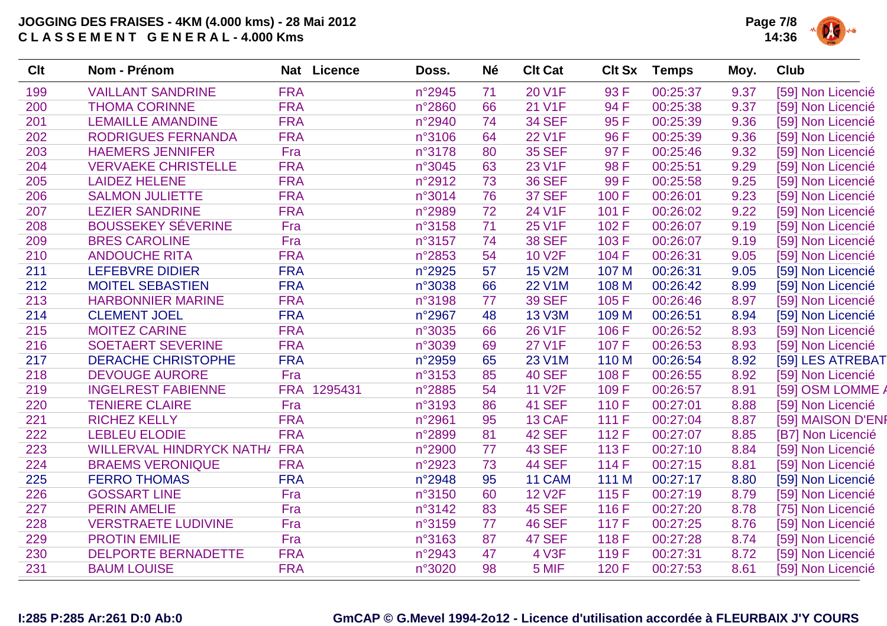

| <b>VAILLANT SANDRINE</b><br>199<br><b>FRA</b><br>n°2945<br>20 V1F<br>93 F<br>71<br>00:25:37<br>9.37<br>[59] Non Licencié<br><b>THOMA CORINNE</b><br><b>FRA</b><br>21 V1F<br>94 F<br>200<br>n°2860<br>66<br>00:25:38<br>9.37<br>[59] Non Licencié<br><b>FRA</b><br><b>34 SEF</b><br>95F<br>201<br><b>LEMAILLE AMANDINE</b><br>n°2940<br>00:25:39<br>9.36<br>[59] Non Licencié<br>74<br><b>RODRIGUES FERNANDA</b><br><b>FRA</b><br><b>22 V1F</b><br>96 F<br>9.36<br>202<br>n°3106<br>64<br>00:25:39<br>[59] Non Licencié<br>203<br><b>HAEMERS JENNIFER</b><br>Fra<br>n°3178<br>80<br><b>35 SEF</b><br>97 F<br>00:25:46<br>9.32<br>[59] Non Licencié<br><b>FRA</b><br>23 V1F<br>98 F<br><b>VERVAEKE CHRISTELLE</b><br>n°3045<br>63<br>00:25:51<br>9.29<br>[59] Non Licencié<br>204<br>99F<br><b>FRA</b><br><b>36 SEF</b><br>205<br><b>LAIDEZ HELENE</b><br>n°2912<br>73<br>00:25:58<br>9.25<br>[59] Non Licencié<br><b>FRA</b><br><b>37 SEF</b><br>206<br><b>SALMON JULIETTE</b><br>n°3014<br>76<br>100 F<br>00:26:01<br>9.23<br>[59] Non Licencié<br>207<br><b>LEZIER SANDRINE</b><br><b>FRA</b><br>n°2989<br>24 V1F<br>101 F<br>00:26:02<br>9.22<br>[59] Non Licencié<br>72<br><b>BOUSSEKEY SÉVERINE</b><br>208<br>71<br><b>25 V1F</b><br>9.19<br>Fra<br>n°3158<br>102 F<br>00:26:07<br>[59] Non Licencié<br><b>BRES CAROLINE</b><br>n°3157<br><b>38 SEF</b><br>103 F<br>00:26:07<br>209<br>Fra<br>74<br>9.19<br>[59] Non Licencié<br><b>FRA</b><br>54<br>210<br><b>ANDOUCHE RITA</b><br><b>10 V2F</b><br>104 F<br>00:26:31<br>9.05<br>n°2853<br>[59] Non Licencié<br><b>FRA</b><br>57<br><b>15 V2M</b><br>211<br><b>LEFEBVRE DIDIER</b><br>n°2925<br>107 M<br>00:26:31<br>9.05<br>[59] Non Licencié<br>212<br><b>FRA</b><br>66<br><b>22 V1M</b><br>108 M<br><b>MOITEL SEBASTIEN</b><br>n°3038<br>00:26:42<br>8.99<br>[59] Non Licencié<br>213<br><b>HARBONNIER MARINE</b><br><b>FRA</b><br>n°3198<br><b>39 SEF</b><br>105 F<br>00:26:46<br>77<br>8.97<br>[59] Non Licencié<br>214<br><b>FRA</b><br><b>CLEMENT JOEL</b><br>n°2967<br>48<br><b>13 V3M</b><br>109 M<br>00:26:51<br>8.94<br>[59] Non Licencié<br>215<br><b>FRA</b><br><b>MOITEZ CARINE</b><br>66<br><b>26 V1F</b><br>106 F<br>00:26:52<br>8.93<br>n°3035<br>[59] Non Licencié<br>216<br><b>SOETAERT SEVERINE</b><br><b>FRA</b><br><b>27 V1F</b><br>n°3039<br>69<br>107 F<br>00:26:53<br>8.93<br>[59] Non Licencié<br><b>FRA</b><br>23 V1M<br>217<br><b>DERACHE CHRISTOPHE</b><br>n°2959<br>65<br>110 M<br>00:26:54<br>8.92<br>[59] LES ATREBAT<br>218<br><b>DEVOUGE AURORE</b><br>Fra<br>85<br><b>40 SEF</b><br>108 F<br>n°3153<br>00:26:55<br>8.92<br>[59] Non Licencié<br>219<br><b>INGELREST FABIENNE</b><br>FRA 1295431<br>54<br><b>11 V2F</b><br>n°2885<br>109 F<br>00:26:57<br>8.91<br>[59] OSM LOMME A<br><b>41 SEF</b><br>220<br><b>TENIERE CLAIRE</b><br>Fra<br>n°3193<br>110 F<br>00:27:01<br>[59] Non Licencié<br>86<br>8.88<br><b>FRA</b><br>221<br><b>RICHEZ KELLY</b><br>n°2961<br>95<br>13 CAF<br>00:27:04<br>8.87<br>[59] MAISON D'ENF<br>111F<br>222<br><b>42 SEF</b><br><b>LEBLEU ELODIE</b><br><b>FRA</b><br>n°2899<br>81<br>112 F<br>00:27:07<br>8.85<br>[B7] Non Licencié<br><b>WILLERVAL HINDRYCK NATH/</b><br><b>FRA</b><br><b>43 SEF</b><br>223<br>n°2900<br>77<br>113 F<br>00:27:10<br>8.84<br>[59] Non Licencié<br><b>44 SEF</b><br><b>BRAEMS VERONIQUE</b><br><b>FRA</b><br>73<br>114 F<br>224<br>n°2923<br>00:27:15<br>8.81<br>[59] Non Licencié<br>11 CAM<br>225<br><b>FERRO THOMAS</b><br><b>FRA</b><br>n°2948<br>95<br>111 M<br>00:27:17<br>8.80<br>[59] Non Licencié<br><b>12 V2F</b><br>226<br><b>GOSSART LINE</b><br>Fra<br>n°3150<br>60<br>115F<br>00:27:19<br>8.79<br>[59] Non Licencié<br>227<br><b>45 SEF</b><br><b>PERIN AMELIE</b><br>Fra<br>n°3142<br>83<br>116 F<br>00:27:20<br>8.78<br>[75] Non Licencié<br>228<br>Fra<br><b>46 SEF</b><br><b>VERSTRAETE LUDIVINE</b><br>n°3159<br>77<br>117 F<br>00:27:25<br>8.76<br>[59] Non Licencié<br><b>PROTIN EMILIE</b><br>Fra<br>87<br><b>47 SEF</b><br>229<br>n°3163<br>118 F<br>00:27:28<br>8.74<br>[59] Non Licencié<br><b>DELPORTE BERNADETTE</b><br><b>FRA</b><br><b>4 V3F</b><br>230<br>n°2943<br>47<br>119F<br>00:27:31<br>8.72<br>[59] Non Licencié<br>231<br><b>FRA</b><br>98<br>5 MIF<br>120 F<br>8.61<br><b>BAUM LOUISE</b><br>n°3020<br>00:27:53<br>[59] Non Licencié | <b>Clt</b> | Nom - Prénom | Nat Licence | Doss. | <b>Né</b> | <b>Clt Cat</b> | <b>Clt Sx</b> | <b>Temps</b> | Moy. | <b>Club</b> |
|-----------------------------------------------------------------------------------------------------------------------------------------------------------------------------------------------------------------------------------------------------------------------------------------------------------------------------------------------------------------------------------------------------------------------------------------------------------------------------------------------------------------------------------------------------------------------------------------------------------------------------------------------------------------------------------------------------------------------------------------------------------------------------------------------------------------------------------------------------------------------------------------------------------------------------------------------------------------------------------------------------------------------------------------------------------------------------------------------------------------------------------------------------------------------------------------------------------------------------------------------------------------------------------------------------------------------------------------------------------------------------------------------------------------------------------------------------------------------------------------------------------------------------------------------------------------------------------------------------------------------------------------------------------------------------------------------------------------------------------------------------------------------------------------------------------------------------------------------------------------------------------------------------------------------------------------------------------------------------------------------------------------------------------------------------------------------------------------------------------------------------------------------------------------------------------------------------------------------------------------------------------------------------------------------------------------------------------------------------------------------------------------------------------------------------------------------------------------------------------------------------------------------------------------------------------------------------------------------------------------------------------------------------------------------------------------------------------------------------------------------------------------------------------------------------------------------------------------------------------------------------------------------------------------------------------------------------------------------------------------------------------------------------------------------------------------------------------------------------------------------------------------------------------------------------------------------------------------------------------------------------------------------------------------------------------------------------------------------------------------------------------------------------------------------------------------------------------------------------------------------------------------------------------------------------------------------------------------------------------------------------------------------------------------------------------------------------------------------------------------------------------------------------------------------------------------------------------------------------------------------------------------------------------------------------------------------------------------------------------------------------------------------------------------------------------------------------------------------------------------------------------------------------------------------------------------------------------------------------------------------------------------------------------------------------------------------------------|------------|--------------|-------------|-------|-----------|----------------|---------------|--------------|------|-------------|
|                                                                                                                                                                                                                                                                                                                                                                                                                                                                                                                                                                                                                                                                                                                                                                                                                                                                                                                                                                                                                                                                                                                                                                                                                                                                                                                                                                                                                                                                                                                                                                                                                                                                                                                                                                                                                                                                                                                                                                                                                                                                                                                                                                                                                                                                                                                                                                                                                                                                                                                                                                                                                                                                                                                                                                                                                                                                                                                                                                                                                                                                                                                                                                                                                                                                                                                                                                                                                                                                                                                                                                                                                                                                                                                                                                                                                                                                                                                                                                                                                                                                                                                                                                                                                                                                                                                                   |            |              |             |       |           |                |               |              |      |             |
|                                                                                                                                                                                                                                                                                                                                                                                                                                                                                                                                                                                                                                                                                                                                                                                                                                                                                                                                                                                                                                                                                                                                                                                                                                                                                                                                                                                                                                                                                                                                                                                                                                                                                                                                                                                                                                                                                                                                                                                                                                                                                                                                                                                                                                                                                                                                                                                                                                                                                                                                                                                                                                                                                                                                                                                                                                                                                                                                                                                                                                                                                                                                                                                                                                                                                                                                                                                                                                                                                                                                                                                                                                                                                                                                                                                                                                                                                                                                                                                                                                                                                                                                                                                                                                                                                                                                   |            |              |             |       |           |                |               |              |      |             |
|                                                                                                                                                                                                                                                                                                                                                                                                                                                                                                                                                                                                                                                                                                                                                                                                                                                                                                                                                                                                                                                                                                                                                                                                                                                                                                                                                                                                                                                                                                                                                                                                                                                                                                                                                                                                                                                                                                                                                                                                                                                                                                                                                                                                                                                                                                                                                                                                                                                                                                                                                                                                                                                                                                                                                                                                                                                                                                                                                                                                                                                                                                                                                                                                                                                                                                                                                                                                                                                                                                                                                                                                                                                                                                                                                                                                                                                                                                                                                                                                                                                                                                                                                                                                                                                                                                                                   |            |              |             |       |           |                |               |              |      |             |
|                                                                                                                                                                                                                                                                                                                                                                                                                                                                                                                                                                                                                                                                                                                                                                                                                                                                                                                                                                                                                                                                                                                                                                                                                                                                                                                                                                                                                                                                                                                                                                                                                                                                                                                                                                                                                                                                                                                                                                                                                                                                                                                                                                                                                                                                                                                                                                                                                                                                                                                                                                                                                                                                                                                                                                                                                                                                                                                                                                                                                                                                                                                                                                                                                                                                                                                                                                                                                                                                                                                                                                                                                                                                                                                                                                                                                                                                                                                                                                                                                                                                                                                                                                                                                                                                                                                                   |            |              |             |       |           |                |               |              |      |             |
|                                                                                                                                                                                                                                                                                                                                                                                                                                                                                                                                                                                                                                                                                                                                                                                                                                                                                                                                                                                                                                                                                                                                                                                                                                                                                                                                                                                                                                                                                                                                                                                                                                                                                                                                                                                                                                                                                                                                                                                                                                                                                                                                                                                                                                                                                                                                                                                                                                                                                                                                                                                                                                                                                                                                                                                                                                                                                                                                                                                                                                                                                                                                                                                                                                                                                                                                                                                                                                                                                                                                                                                                                                                                                                                                                                                                                                                                                                                                                                                                                                                                                                                                                                                                                                                                                                                                   |            |              |             |       |           |                |               |              |      |             |
|                                                                                                                                                                                                                                                                                                                                                                                                                                                                                                                                                                                                                                                                                                                                                                                                                                                                                                                                                                                                                                                                                                                                                                                                                                                                                                                                                                                                                                                                                                                                                                                                                                                                                                                                                                                                                                                                                                                                                                                                                                                                                                                                                                                                                                                                                                                                                                                                                                                                                                                                                                                                                                                                                                                                                                                                                                                                                                                                                                                                                                                                                                                                                                                                                                                                                                                                                                                                                                                                                                                                                                                                                                                                                                                                                                                                                                                                                                                                                                                                                                                                                                                                                                                                                                                                                                                                   |            |              |             |       |           |                |               |              |      |             |
|                                                                                                                                                                                                                                                                                                                                                                                                                                                                                                                                                                                                                                                                                                                                                                                                                                                                                                                                                                                                                                                                                                                                                                                                                                                                                                                                                                                                                                                                                                                                                                                                                                                                                                                                                                                                                                                                                                                                                                                                                                                                                                                                                                                                                                                                                                                                                                                                                                                                                                                                                                                                                                                                                                                                                                                                                                                                                                                                                                                                                                                                                                                                                                                                                                                                                                                                                                                                                                                                                                                                                                                                                                                                                                                                                                                                                                                                                                                                                                                                                                                                                                                                                                                                                                                                                                                                   |            |              |             |       |           |                |               |              |      |             |
|                                                                                                                                                                                                                                                                                                                                                                                                                                                                                                                                                                                                                                                                                                                                                                                                                                                                                                                                                                                                                                                                                                                                                                                                                                                                                                                                                                                                                                                                                                                                                                                                                                                                                                                                                                                                                                                                                                                                                                                                                                                                                                                                                                                                                                                                                                                                                                                                                                                                                                                                                                                                                                                                                                                                                                                                                                                                                                                                                                                                                                                                                                                                                                                                                                                                                                                                                                                                                                                                                                                                                                                                                                                                                                                                                                                                                                                                                                                                                                                                                                                                                                                                                                                                                                                                                                                                   |            |              |             |       |           |                |               |              |      |             |
|                                                                                                                                                                                                                                                                                                                                                                                                                                                                                                                                                                                                                                                                                                                                                                                                                                                                                                                                                                                                                                                                                                                                                                                                                                                                                                                                                                                                                                                                                                                                                                                                                                                                                                                                                                                                                                                                                                                                                                                                                                                                                                                                                                                                                                                                                                                                                                                                                                                                                                                                                                                                                                                                                                                                                                                                                                                                                                                                                                                                                                                                                                                                                                                                                                                                                                                                                                                                                                                                                                                                                                                                                                                                                                                                                                                                                                                                                                                                                                                                                                                                                                                                                                                                                                                                                                                                   |            |              |             |       |           |                |               |              |      |             |
|                                                                                                                                                                                                                                                                                                                                                                                                                                                                                                                                                                                                                                                                                                                                                                                                                                                                                                                                                                                                                                                                                                                                                                                                                                                                                                                                                                                                                                                                                                                                                                                                                                                                                                                                                                                                                                                                                                                                                                                                                                                                                                                                                                                                                                                                                                                                                                                                                                                                                                                                                                                                                                                                                                                                                                                                                                                                                                                                                                                                                                                                                                                                                                                                                                                                                                                                                                                                                                                                                                                                                                                                                                                                                                                                                                                                                                                                                                                                                                                                                                                                                                                                                                                                                                                                                                                                   |            |              |             |       |           |                |               |              |      |             |
|                                                                                                                                                                                                                                                                                                                                                                                                                                                                                                                                                                                                                                                                                                                                                                                                                                                                                                                                                                                                                                                                                                                                                                                                                                                                                                                                                                                                                                                                                                                                                                                                                                                                                                                                                                                                                                                                                                                                                                                                                                                                                                                                                                                                                                                                                                                                                                                                                                                                                                                                                                                                                                                                                                                                                                                                                                                                                                                                                                                                                                                                                                                                                                                                                                                                                                                                                                                                                                                                                                                                                                                                                                                                                                                                                                                                                                                                                                                                                                                                                                                                                                                                                                                                                                                                                                                                   |            |              |             |       |           |                |               |              |      |             |
|                                                                                                                                                                                                                                                                                                                                                                                                                                                                                                                                                                                                                                                                                                                                                                                                                                                                                                                                                                                                                                                                                                                                                                                                                                                                                                                                                                                                                                                                                                                                                                                                                                                                                                                                                                                                                                                                                                                                                                                                                                                                                                                                                                                                                                                                                                                                                                                                                                                                                                                                                                                                                                                                                                                                                                                                                                                                                                                                                                                                                                                                                                                                                                                                                                                                                                                                                                                                                                                                                                                                                                                                                                                                                                                                                                                                                                                                                                                                                                                                                                                                                                                                                                                                                                                                                                                                   |            |              |             |       |           |                |               |              |      |             |
|                                                                                                                                                                                                                                                                                                                                                                                                                                                                                                                                                                                                                                                                                                                                                                                                                                                                                                                                                                                                                                                                                                                                                                                                                                                                                                                                                                                                                                                                                                                                                                                                                                                                                                                                                                                                                                                                                                                                                                                                                                                                                                                                                                                                                                                                                                                                                                                                                                                                                                                                                                                                                                                                                                                                                                                                                                                                                                                                                                                                                                                                                                                                                                                                                                                                                                                                                                                                                                                                                                                                                                                                                                                                                                                                                                                                                                                                                                                                                                                                                                                                                                                                                                                                                                                                                                                                   |            |              |             |       |           |                |               |              |      |             |
|                                                                                                                                                                                                                                                                                                                                                                                                                                                                                                                                                                                                                                                                                                                                                                                                                                                                                                                                                                                                                                                                                                                                                                                                                                                                                                                                                                                                                                                                                                                                                                                                                                                                                                                                                                                                                                                                                                                                                                                                                                                                                                                                                                                                                                                                                                                                                                                                                                                                                                                                                                                                                                                                                                                                                                                                                                                                                                                                                                                                                                                                                                                                                                                                                                                                                                                                                                                                                                                                                                                                                                                                                                                                                                                                                                                                                                                                                                                                                                                                                                                                                                                                                                                                                                                                                                                                   |            |              |             |       |           |                |               |              |      |             |
|                                                                                                                                                                                                                                                                                                                                                                                                                                                                                                                                                                                                                                                                                                                                                                                                                                                                                                                                                                                                                                                                                                                                                                                                                                                                                                                                                                                                                                                                                                                                                                                                                                                                                                                                                                                                                                                                                                                                                                                                                                                                                                                                                                                                                                                                                                                                                                                                                                                                                                                                                                                                                                                                                                                                                                                                                                                                                                                                                                                                                                                                                                                                                                                                                                                                                                                                                                                                                                                                                                                                                                                                                                                                                                                                                                                                                                                                                                                                                                                                                                                                                                                                                                                                                                                                                                                                   |            |              |             |       |           |                |               |              |      |             |
|                                                                                                                                                                                                                                                                                                                                                                                                                                                                                                                                                                                                                                                                                                                                                                                                                                                                                                                                                                                                                                                                                                                                                                                                                                                                                                                                                                                                                                                                                                                                                                                                                                                                                                                                                                                                                                                                                                                                                                                                                                                                                                                                                                                                                                                                                                                                                                                                                                                                                                                                                                                                                                                                                                                                                                                                                                                                                                                                                                                                                                                                                                                                                                                                                                                                                                                                                                                                                                                                                                                                                                                                                                                                                                                                                                                                                                                                                                                                                                                                                                                                                                                                                                                                                                                                                                                                   |            |              |             |       |           |                |               |              |      |             |
|                                                                                                                                                                                                                                                                                                                                                                                                                                                                                                                                                                                                                                                                                                                                                                                                                                                                                                                                                                                                                                                                                                                                                                                                                                                                                                                                                                                                                                                                                                                                                                                                                                                                                                                                                                                                                                                                                                                                                                                                                                                                                                                                                                                                                                                                                                                                                                                                                                                                                                                                                                                                                                                                                                                                                                                                                                                                                                                                                                                                                                                                                                                                                                                                                                                                                                                                                                                                                                                                                                                                                                                                                                                                                                                                                                                                                                                                                                                                                                                                                                                                                                                                                                                                                                                                                                                                   |            |              |             |       |           |                |               |              |      |             |
|                                                                                                                                                                                                                                                                                                                                                                                                                                                                                                                                                                                                                                                                                                                                                                                                                                                                                                                                                                                                                                                                                                                                                                                                                                                                                                                                                                                                                                                                                                                                                                                                                                                                                                                                                                                                                                                                                                                                                                                                                                                                                                                                                                                                                                                                                                                                                                                                                                                                                                                                                                                                                                                                                                                                                                                                                                                                                                                                                                                                                                                                                                                                                                                                                                                                                                                                                                                                                                                                                                                                                                                                                                                                                                                                                                                                                                                                                                                                                                                                                                                                                                                                                                                                                                                                                                                                   |            |              |             |       |           |                |               |              |      |             |
|                                                                                                                                                                                                                                                                                                                                                                                                                                                                                                                                                                                                                                                                                                                                                                                                                                                                                                                                                                                                                                                                                                                                                                                                                                                                                                                                                                                                                                                                                                                                                                                                                                                                                                                                                                                                                                                                                                                                                                                                                                                                                                                                                                                                                                                                                                                                                                                                                                                                                                                                                                                                                                                                                                                                                                                                                                                                                                                                                                                                                                                                                                                                                                                                                                                                                                                                                                                                                                                                                                                                                                                                                                                                                                                                                                                                                                                                                                                                                                                                                                                                                                                                                                                                                                                                                                                                   |            |              |             |       |           |                |               |              |      |             |
|                                                                                                                                                                                                                                                                                                                                                                                                                                                                                                                                                                                                                                                                                                                                                                                                                                                                                                                                                                                                                                                                                                                                                                                                                                                                                                                                                                                                                                                                                                                                                                                                                                                                                                                                                                                                                                                                                                                                                                                                                                                                                                                                                                                                                                                                                                                                                                                                                                                                                                                                                                                                                                                                                                                                                                                                                                                                                                                                                                                                                                                                                                                                                                                                                                                                                                                                                                                                                                                                                                                                                                                                                                                                                                                                                                                                                                                                                                                                                                                                                                                                                                                                                                                                                                                                                                                                   |            |              |             |       |           |                |               |              |      |             |
|                                                                                                                                                                                                                                                                                                                                                                                                                                                                                                                                                                                                                                                                                                                                                                                                                                                                                                                                                                                                                                                                                                                                                                                                                                                                                                                                                                                                                                                                                                                                                                                                                                                                                                                                                                                                                                                                                                                                                                                                                                                                                                                                                                                                                                                                                                                                                                                                                                                                                                                                                                                                                                                                                                                                                                                                                                                                                                                                                                                                                                                                                                                                                                                                                                                                                                                                                                                                                                                                                                                                                                                                                                                                                                                                                                                                                                                                                                                                                                                                                                                                                                                                                                                                                                                                                                                                   |            |              |             |       |           |                |               |              |      |             |
|                                                                                                                                                                                                                                                                                                                                                                                                                                                                                                                                                                                                                                                                                                                                                                                                                                                                                                                                                                                                                                                                                                                                                                                                                                                                                                                                                                                                                                                                                                                                                                                                                                                                                                                                                                                                                                                                                                                                                                                                                                                                                                                                                                                                                                                                                                                                                                                                                                                                                                                                                                                                                                                                                                                                                                                                                                                                                                                                                                                                                                                                                                                                                                                                                                                                                                                                                                                                                                                                                                                                                                                                                                                                                                                                                                                                                                                                                                                                                                                                                                                                                                                                                                                                                                                                                                                                   |            |              |             |       |           |                |               |              |      |             |
|                                                                                                                                                                                                                                                                                                                                                                                                                                                                                                                                                                                                                                                                                                                                                                                                                                                                                                                                                                                                                                                                                                                                                                                                                                                                                                                                                                                                                                                                                                                                                                                                                                                                                                                                                                                                                                                                                                                                                                                                                                                                                                                                                                                                                                                                                                                                                                                                                                                                                                                                                                                                                                                                                                                                                                                                                                                                                                                                                                                                                                                                                                                                                                                                                                                                                                                                                                                                                                                                                                                                                                                                                                                                                                                                                                                                                                                                                                                                                                                                                                                                                                                                                                                                                                                                                                                                   |            |              |             |       |           |                |               |              |      |             |
|                                                                                                                                                                                                                                                                                                                                                                                                                                                                                                                                                                                                                                                                                                                                                                                                                                                                                                                                                                                                                                                                                                                                                                                                                                                                                                                                                                                                                                                                                                                                                                                                                                                                                                                                                                                                                                                                                                                                                                                                                                                                                                                                                                                                                                                                                                                                                                                                                                                                                                                                                                                                                                                                                                                                                                                                                                                                                                                                                                                                                                                                                                                                                                                                                                                                                                                                                                                                                                                                                                                                                                                                                                                                                                                                                                                                                                                                                                                                                                                                                                                                                                                                                                                                                                                                                                                                   |            |              |             |       |           |                |               |              |      |             |
|                                                                                                                                                                                                                                                                                                                                                                                                                                                                                                                                                                                                                                                                                                                                                                                                                                                                                                                                                                                                                                                                                                                                                                                                                                                                                                                                                                                                                                                                                                                                                                                                                                                                                                                                                                                                                                                                                                                                                                                                                                                                                                                                                                                                                                                                                                                                                                                                                                                                                                                                                                                                                                                                                                                                                                                                                                                                                                                                                                                                                                                                                                                                                                                                                                                                                                                                                                                                                                                                                                                                                                                                                                                                                                                                                                                                                                                                                                                                                                                                                                                                                                                                                                                                                                                                                                                                   |            |              |             |       |           |                |               |              |      |             |
|                                                                                                                                                                                                                                                                                                                                                                                                                                                                                                                                                                                                                                                                                                                                                                                                                                                                                                                                                                                                                                                                                                                                                                                                                                                                                                                                                                                                                                                                                                                                                                                                                                                                                                                                                                                                                                                                                                                                                                                                                                                                                                                                                                                                                                                                                                                                                                                                                                                                                                                                                                                                                                                                                                                                                                                                                                                                                                                                                                                                                                                                                                                                                                                                                                                                                                                                                                                                                                                                                                                                                                                                                                                                                                                                                                                                                                                                                                                                                                                                                                                                                                                                                                                                                                                                                                                                   |            |              |             |       |           |                |               |              |      |             |
|                                                                                                                                                                                                                                                                                                                                                                                                                                                                                                                                                                                                                                                                                                                                                                                                                                                                                                                                                                                                                                                                                                                                                                                                                                                                                                                                                                                                                                                                                                                                                                                                                                                                                                                                                                                                                                                                                                                                                                                                                                                                                                                                                                                                                                                                                                                                                                                                                                                                                                                                                                                                                                                                                                                                                                                                                                                                                                                                                                                                                                                                                                                                                                                                                                                                                                                                                                                                                                                                                                                                                                                                                                                                                                                                                                                                                                                                                                                                                                                                                                                                                                                                                                                                                                                                                                                                   |            |              |             |       |           |                |               |              |      |             |
|                                                                                                                                                                                                                                                                                                                                                                                                                                                                                                                                                                                                                                                                                                                                                                                                                                                                                                                                                                                                                                                                                                                                                                                                                                                                                                                                                                                                                                                                                                                                                                                                                                                                                                                                                                                                                                                                                                                                                                                                                                                                                                                                                                                                                                                                                                                                                                                                                                                                                                                                                                                                                                                                                                                                                                                                                                                                                                                                                                                                                                                                                                                                                                                                                                                                                                                                                                                                                                                                                                                                                                                                                                                                                                                                                                                                                                                                                                                                                                                                                                                                                                                                                                                                                                                                                                                                   |            |              |             |       |           |                |               |              |      |             |
|                                                                                                                                                                                                                                                                                                                                                                                                                                                                                                                                                                                                                                                                                                                                                                                                                                                                                                                                                                                                                                                                                                                                                                                                                                                                                                                                                                                                                                                                                                                                                                                                                                                                                                                                                                                                                                                                                                                                                                                                                                                                                                                                                                                                                                                                                                                                                                                                                                                                                                                                                                                                                                                                                                                                                                                                                                                                                                                                                                                                                                                                                                                                                                                                                                                                                                                                                                                                                                                                                                                                                                                                                                                                                                                                                                                                                                                                                                                                                                                                                                                                                                                                                                                                                                                                                                                                   |            |              |             |       |           |                |               |              |      |             |
|                                                                                                                                                                                                                                                                                                                                                                                                                                                                                                                                                                                                                                                                                                                                                                                                                                                                                                                                                                                                                                                                                                                                                                                                                                                                                                                                                                                                                                                                                                                                                                                                                                                                                                                                                                                                                                                                                                                                                                                                                                                                                                                                                                                                                                                                                                                                                                                                                                                                                                                                                                                                                                                                                                                                                                                                                                                                                                                                                                                                                                                                                                                                                                                                                                                                                                                                                                                                                                                                                                                                                                                                                                                                                                                                                                                                                                                                                                                                                                                                                                                                                                                                                                                                                                                                                                                                   |            |              |             |       |           |                |               |              |      |             |
|                                                                                                                                                                                                                                                                                                                                                                                                                                                                                                                                                                                                                                                                                                                                                                                                                                                                                                                                                                                                                                                                                                                                                                                                                                                                                                                                                                                                                                                                                                                                                                                                                                                                                                                                                                                                                                                                                                                                                                                                                                                                                                                                                                                                                                                                                                                                                                                                                                                                                                                                                                                                                                                                                                                                                                                                                                                                                                                                                                                                                                                                                                                                                                                                                                                                                                                                                                                                                                                                                                                                                                                                                                                                                                                                                                                                                                                                                                                                                                                                                                                                                                                                                                                                                                                                                                                                   |            |              |             |       |           |                |               |              |      |             |
|                                                                                                                                                                                                                                                                                                                                                                                                                                                                                                                                                                                                                                                                                                                                                                                                                                                                                                                                                                                                                                                                                                                                                                                                                                                                                                                                                                                                                                                                                                                                                                                                                                                                                                                                                                                                                                                                                                                                                                                                                                                                                                                                                                                                                                                                                                                                                                                                                                                                                                                                                                                                                                                                                                                                                                                                                                                                                                                                                                                                                                                                                                                                                                                                                                                                                                                                                                                                                                                                                                                                                                                                                                                                                                                                                                                                                                                                                                                                                                                                                                                                                                                                                                                                                                                                                                                                   |            |              |             |       |           |                |               |              |      |             |
|                                                                                                                                                                                                                                                                                                                                                                                                                                                                                                                                                                                                                                                                                                                                                                                                                                                                                                                                                                                                                                                                                                                                                                                                                                                                                                                                                                                                                                                                                                                                                                                                                                                                                                                                                                                                                                                                                                                                                                                                                                                                                                                                                                                                                                                                                                                                                                                                                                                                                                                                                                                                                                                                                                                                                                                                                                                                                                                                                                                                                                                                                                                                                                                                                                                                                                                                                                                                                                                                                                                                                                                                                                                                                                                                                                                                                                                                                                                                                                                                                                                                                                                                                                                                                                                                                                                                   |            |              |             |       |           |                |               |              |      |             |